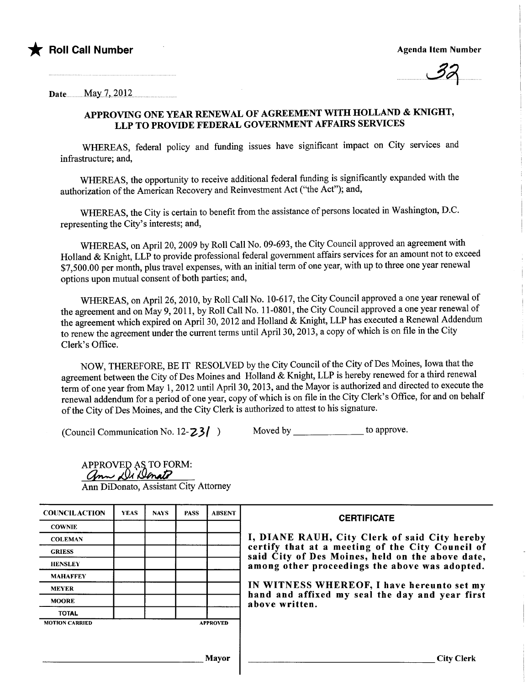

 $\cup$ 

Date. May  $7, 2012$ .

# APPROVING ONE YEAR RENEWAL OF AGREEMENT WITH HOLLAND & KNIGHT, LLP TO PROVIDE FEDERAL GOVERNMENT AFFAIRS SERVICES

WHREAS, federal policy and funding issues have significant impact on City services and infrastructure; and,

WHEREAS, the opportunity to receive additional federal funding is significantly expanded with the authorization of the American Recovery and Reinvestment Act ("the Act"); and,

WHREAS, the City is certain to benefit from the assistance of persons located in Washington, D.C. representing the City's interests; and,

WHREAS, on April 20, 2009 by Roll Call No. 09-693, the City Council approved an agreement with Holland & Knight, LLP to provide professional federal government affairs services for an amount not to exceed \$7,500.00 per month, plus travel expenses, with an initial term of one year, with up to three one year renewal options upon mutual consent of both parties; and,

WHEREAS, on April 26, 2010, by Roll Call No. 10-617, the City Council approved a one year renewal of the agreement and on May 9,2011, by Roll Call No.1 1-0801, the City Council approved a one year renewal of the agreement which expired on April 30, 2012 and Holland & Knight, LLP has executed a Renewal Addendum to renew the agreement under the current terms until April 30, 2013, a copy of which is on fie in the City Clerk's Office.

NOW, THEREFORE, BE IT RESOLVED by the City Council of the City of Des Moines, Iowa that the agreement between the City of Des Moines and Holland & Knight, LLP is hereby renewed for a third renewal term of one year from May 1,2012 until April 30, 2013, and the Mayor is authorized and directed to execute the renewal addendum for a period of one year, copy of which is on file in the City Clerk's Office, for and on behalf of the City of Des Moines, and the City Clerk is authorized to attest to his signature.

(Council Communication No.  $12-23$ )

| Moved by |  |  | to approve. |
|----------|--|--|-------------|
|----------|--|--|-------------|

APPROVED AS TO FORM:<br>*Grow De Denate* Ann DiDonato, Assistant City Attorney

| <b>COUNCILACTION</b>  | <b>YEAS</b> | <b>NAYS</b> | <b>PASS</b> | <b>ABSENT</b>   | <b>CERTIFICATE</b>                                                                                   |  |  |  |
|-----------------------|-------------|-------------|-------------|-----------------|------------------------------------------------------------------------------------------------------|--|--|--|
| <b>COWNIE</b>         |             |             |             |                 | I, DIANE RAUH, City Clerk of said City hereby                                                        |  |  |  |
| <b>COLEMAN</b>        |             |             |             |                 |                                                                                                      |  |  |  |
| <b>GRIESS</b>         |             |             |             |                 | certify that at a meeting of the City Council of<br>said City of Des Moines, held on the above date, |  |  |  |
| <b>HENSLEY</b>        |             |             |             |                 | among other proceedings the above was adopted.                                                       |  |  |  |
| <b>MAHAFFEY</b>       |             |             |             |                 |                                                                                                      |  |  |  |
| <b>MEYER</b>          |             |             |             |                 | IN WITNESS WHEREOF, I have hereunto set my                                                           |  |  |  |
| <b>MOORE</b>          |             |             |             |                 | hand and affixed my seal the day and year first<br>above written.                                    |  |  |  |
| <b>TOTAL</b>          |             |             |             |                 |                                                                                                      |  |  |  |
| <b>MOTION CARRIED</b> |             |             |             | <b>APPROVED</b> |                                                                                                      |  |  |  |
|                       |             |             |             |                 |                                                                                                      |  |  |  |
|                       |             |             |             | <b>Mayor</b>    | <b>City Clerk</b>                                                                                    |  |  |  |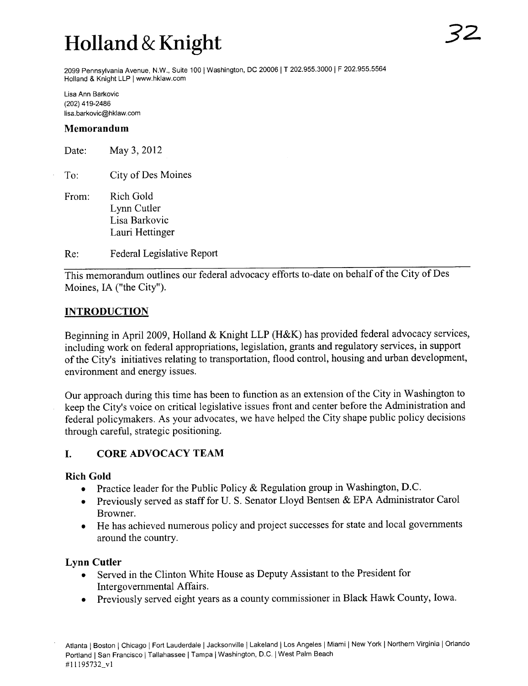# Holland & Knight

2099 Pennsylvania Avenue, N.W., Suite 100 | Washington, DC 20006 | T 202.955.3000 | F 202.955.5564 Holland & Knight LLP 1 ww.hklaw.com

Lisa Ann Barkovic (202) 419-2486 lisa.barkovic@hklaw.com

#### Memorandum

Date: May 3, 2012

To: City of Des Moines

From: Rich Gold Lynn Cutler Lisa Barkovic Lauri Hettinger

Re: Federal Legislative Report

This memorandum outlines our federal advocacy efforts to-date on behalf of the City of Des Moines, IA ("the City").

#### **INTRODUCTION**

Beginning in April 2009, Holland & Knight LLP (H&K) has provided federal advocacy services, including work on federal appropriations, legislation, grants and regulatory services, in support of the City's initiatives relating to transportation, flood control, housing and urban development, environment and energy issues.

Our approach during this time has been to function as an extension of the City in Washington to keep the City's voice on critical legislative issues front and center before the Administration and federal policymakers. As your advocates, we have helped the City shape public policy decisions through careful, strategic positioning.

# i. CORE ADVOCACY TEAM

#### Rich Gold

- Practice leader for the Public Policy & Regulation group in Washington, D.C.
- Previously served as staff for U.S. Senator Lloyd Bentsen & EPA Administrator Carol Browner.
- . He has achieved numerous policy and project successes for state and local governents around the country.

## Lynn Cutler

- . Served in the Clinton White House as Deputy Assistant to the President for Intergovernmental Affairs.
- . Previously served eight years as a county commissioner in Black Hawk County, Iowa.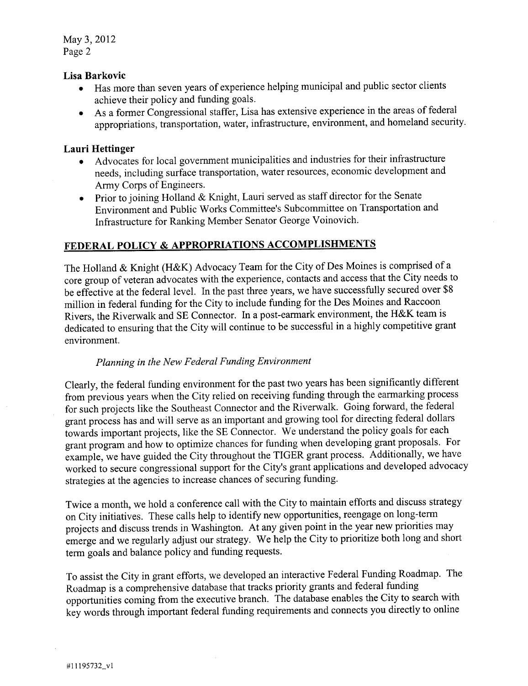May 3,2012 Page 2

#### Lisa Barkovic

- . Has more than seven years of experience helping municipal and public sector clients achieve their policy and funding goals.
- . As a former Congressional staffer, Lisa has extensive experience in the areas of federal appropriations, transportation, water, infrastructure, environment, and homeland security.

# Lauri Hettinger

- . Advocates for local governent municipalities and industries for their infrastructure needs, including surface transportation, water resources, economic development and Army Corps of Engineers.
- . Prior to joining Holland & Knight, Lauri served as staff director for the Senate Environment and Public Works Committee's Subcommittee on Transportation and Infrastructure for Ranking Member Senator George Voinovich.

# FEDERAL POLICY & APPROPRIATIONS ACCOMPLISHMENTS

The Holland & Knight (H&K) Advocacy Team for the City of Des Moines is comprised of a core group of veteran advocates with the experience, contacts and access that the City needs to be effective at the federal level. In the past three years, we have successfully secured over \$8 milion in federal funding for the City to include funding for the Des Moines and Raccoon Rivers, the Riverwalk and SE Connector. In a post-earmark environment, the H&K team is dedicated to ensuring that the City will continue to be successful in a highly competitive grant environment.

## Planning in the New Federal Funding Environment

Clearly, the federal funding environment for the past two years has been significantly different from previous years when the City relied on receiving funding through the eararking process for such projects like the Southeast Connector and the Riverwalk. Going forward, the federal grant process has and wil serve as an important and growing tool for directing federal dollars towards important projects, like the SE Connector. We understand the policy goals for each grant program and how to optimize chances for funding when developing grant proposals. For example, we have guided the City throughout the TIGER grant process. Additionally, we have worked to secure congressional support for the City's grant applications and developed advocacy strategies at the agencies to increase chances of securing funding.

Twice a month, we hold a conference call with the City to maintain efforts and discuss strategy on City initiatives. These calls help to identify new opportunities, reengage on long-term projects and discuss trends in Washington. At any given point in the year new priorities may emerge and we regularly adjust our strategy. We help the City to prioritize both long and short term goals and balance policy and funding requests.

To assist the City in grant efforts, we developed an interactive Federal Funding Roadmap. The Roadmap is a comprehensive database that tracks priority grants and federal funding opportunities coming from the executive branch. The database enables the City to search with key words through important federal funding requirements and connects you directly to online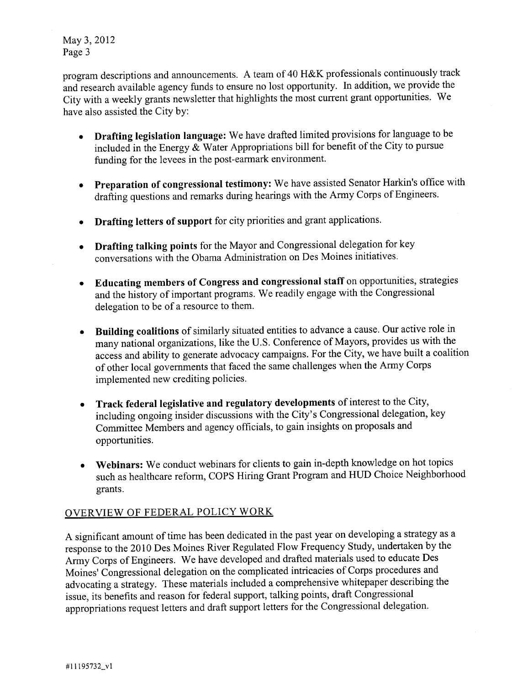May 3,2012 Page 3

program descriptions and announcements. A team of 40 H&K professionals continuously track and research available agency funds to ensure no lost opportnity. In addition, we provide the City with a weekly grants newsletter that highlights the most current grant opportunities. We have also assisted the City by:

- . Drafting legislation language: We have drafted limited provisions for language to be included in the Energy  $\&$  Water Appropriations bill for benefit of the City to pursue funding for the levees in the post-earmark environment.
- . Preparation of congressional testimony: We have assisted Senator Harkin's offce with drafting questions and remarks during hearings with the Army Corps of Engineers.
- . Drafting letters of support for city priorities and grant applications.
- . Drafting talking points for the Mayor and Congressional delegation for key conversations with the Obama Administration on Des Moines initiatives.
- . Educating members of Congress and congressional staff on opportunities, strategies and the history of important programs. We readily engage with the Congressional delegation to be of a resource to them.
- . Building coalitions of similarly situated entities to advance a cause. Our active role in many national organizations, like the U.S. Conference of Mayors, provides us with the access and ability to generate advocacy campaigns. For the City, we have built a coalition of other local governents that faced the same challenges when the Army Corps implemented new crediting policies.
- . Track federal legislative and regulatory developments of interest to the City, including ongoing insider discussions with the City's Congressional delegation, key Committee Members and agency officials, to gain insights on proposals and opportunities.
- . Webinars: We conduct webinars for clients to gain in-depth knowledge on hot topics such as healthcare reform, COPS Hiring Grant Program and HUD Choice Neighborhood grants.

# OVERVIEW OF FEDERAL POLICY WORK

A significant amount of time has been dedicated in the past year on developing a strategy as a response to the 2010 Des Moines River Regulated Flow Frequency Study, undertaken by the Army Corps of Engineers. We have developed and drafted materials used to educate Des Moines' Congressional delegation on the complicated intricacies of Corps procedures and advocating a strategy. These materials included a comprehensive whitepaper describing the issue, its benefits and reason for federal support, talking points, draft Congressional appropriations request letters and draft support letters for the Congressional delegation.